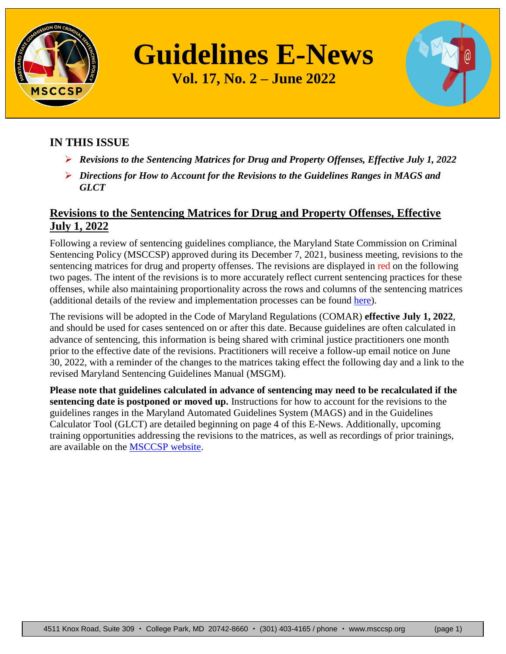

**Guidelines E-News**

**Vol. 17, No. 2 – June 2022**

### **IN THIS ISSUE**

- *Revisions to the Sentencing Matrices for Drug and Property Offenses, Effective July 1, 2022*
- *Directions for How to Account for the Revisions to the Guidelines Ranges in MAGS and GLCT*

# **Revisions to the Sentencing Matrices for Drug and Property Offenses, Effective July 1, 2022**

Following a review of sentencing guidelines compliance, the Maryland State Commission on Criminal Sentencing Policy (MSCCSP) approved during its December 7, 2021, business meeting, revisions to the sentencing matrices for drug and property offenses. The revisions are displayed in red on the following two pages. The intent of the revisions is to more accurately reflect current sentencing practices for these offenses, while also maintaining proportionality across the rows and columns of the sentencing matrices (additional details of the review and implementation processes can be found [here\)](https://msccsp.org/Files/Guidelines/Pending_Guidelines_Revisions_07-01-2022.pdf).

The revisions will be adopted in the Code of Maryland Regulations (COMAR) **effective July 1, 2022**, and should be used for cases sentenced on or after this date. Because guidelines are often calculated in advance of sentencing, this information is being shared with criminal justice practitioners one month prior to the effective date of the revisions. Practitioners will receive a follow-up email notice on June 30, 2022, with a reminder of the changes to the matrices taking effect the following day and a link to the revised Maryland Sentencing Guidelines Manual (MSGM).

**Please note that guidelines calculated in advance of sentencing may need to be recalculated if the sentencing date is postponed or moved up.** Instructions for how to account for the revisions to the guidelines ranges in the Maryland Automated Guidelines System (MAGS) and in the Guidelines Calculator Tool (GLCT) are detailed beginning on page 4 of this E-News. Additionally, upcoming training opportunities addressing the revisions to the matrices, as well as recordings of prior trainings, are available on the [MSCCSP website.](http://www.msccsp.org/Training/Default.aspx)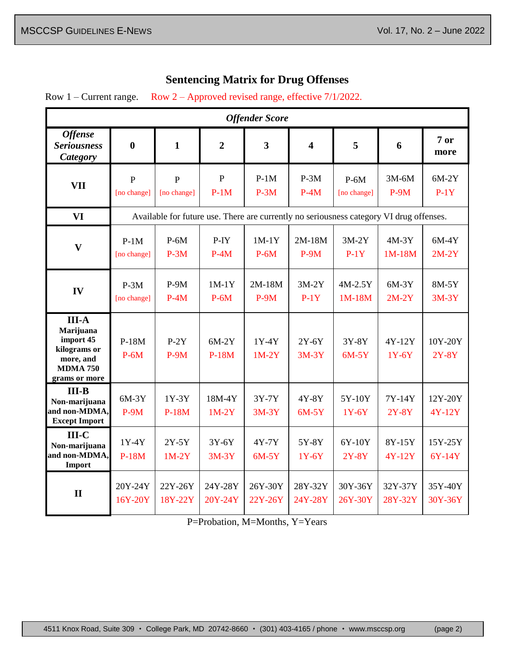#### **Sentencing Matrix for Drug Offenses**

Row 1 – Current range. Row 2 – Approved revised range, effective 7/1/2022.

| <b>Offender Score</b>                                                                                   |                                                                                         |                               |                          |                         |                         |                       |                     |                     |
|---------------------------------------------------------------------------------------------------------|-----------------------------------------------------------------------------------------|-------------------------------|--------------------------|-------------------------|-------------------------|-----------------------|---------------------|---------------------|
| <b>Offense</b><br><b>Seriousness</b><br><b>Category</b>                                                 | $\bf{0}$                                                                                | $\mathbf{1}$                  | $\overline{2}$           | $\overline{\mathbf{3}}$ | $\overline{\mathbf{4}}$ | 5                     | 6                   | 7or<br>more         |
| <b>VII</b>                                                                                              | $\overline{P}$<br>[no change]                                                           | $\overline{P}$<br>[no change] | $\overline{P}$<br>$P-1M$ | $P-1M$<br>$P-3M$        | $P-3M$<br>$P-4M$        | $P-6M$<br>[no change] | $3M-6M$<br>$P-9M$   | $6M-2Y$<br>$P-1Y$   |
| <b>VI</b>                                                                                               | Available for future use. There are currently no seriousness category VI drug offenses. |                               |                          |                         |                         |                       |                     |                     |
| $\mathbf{V}$                                                                                            | $P-1M$<br>[no change]                                                                   | $P-6M$<br>$P-3M$              | P-IY<br>$P-4M$           | $1M-1Y$<br>$P-6M$       | $2M-18M$<br>$P-9M$      | $3M-2Y$<br>$P-1Y$     | $4M-3Y$<br>$1M-18M$ | $6M-4Y$<br>$2M-2Y$  |
| IV                                                                                                      | $P-3M$<br>[no change]                                                                   | $P-9M$<br>$P-4M$              | $1M-1Y$<br>$P-6M$        | $2M-18M$<br>$P-9M$      | $3M-2Y$<br>$P-1Y$       | $4M-2.5Y$<br>$1M-18M$ | $6M-3Y$<br>$2M-2Y$  | 8M-5Y<br>$3M-3Y$    |
| <b>III-A</b><br>Marijuana<br>import 45<br>kilograms or<br>more, and<br><b>MDMA 750</b><br>grams or more | $P-18M$<br>$P-6M$                                                                       | $P-2Y$<br>$P-9M$              | $6M-2Y$<br>$P-18M$       | 1Y-4Y<br>$1M-2Y$        | $2Y-6Y$<br>$3M-3Y$      | 3Y-8Y<br>$6M-5Y$      | 4Y-12Y<br>$1Y-6Y$   | 10Y-20Y<br>$2Y-8Y$  |
| $III-B$<br>Non-marijuana<br>and non-MDMA,<br><b>Except Import</b>                                       | $6M-3Y$<br>$P-9M$                                                                       | $1Y-3Y$<br>$P-18M$            | $18M-4Y$<br>$1M-2Y$      | $3Y-7Y$<br>$3M-3Y$      | $4Y-8Y$<br>$6M-5Y$      | 5Y-10Y<br>$1Y-6Y$     | 7Y-14Y<br>$2Y-8Y$   | 12Y-20Y<br>4Y-12Y   |
| $III-C$<br>Non-marijuana<br>and non-MDMA,<br>Import                                                     | $1Y-4Y$<br>$P-18M$                                                                      | $2Y-5Y$<br>$1M-2Y$            | $3Y-6Y$<br>$3M-3Y$       | 4Y-7Y<br>$6M-5Y$        | 5Y-8Y<br>$1Y-6Y$        | 6Y-10Y<br>$2Y-8Y$     | 8Y-15Y<br>4Y-12Y    | 15Y-25Y<br>$6Y-14Y$ |
| $\mathbf{I}$                                                                                            | 20Y-24Y<br>16Y-20Y                                                                      | 22Y-26Y<br>18Y-22Y            | 24Y-28Y<br>20Y-24Y       | 26Y-30Y<br>22Y-26Y      | 28Y-32Y<br>24Y-28Y      | 30Y-36Y<br>26Y-30Y    | 32Y-37Y<br>28Y-32Y  | 35Y-40Y<br>30Y-36Y  |

P=Probation, M=Months, Y=Years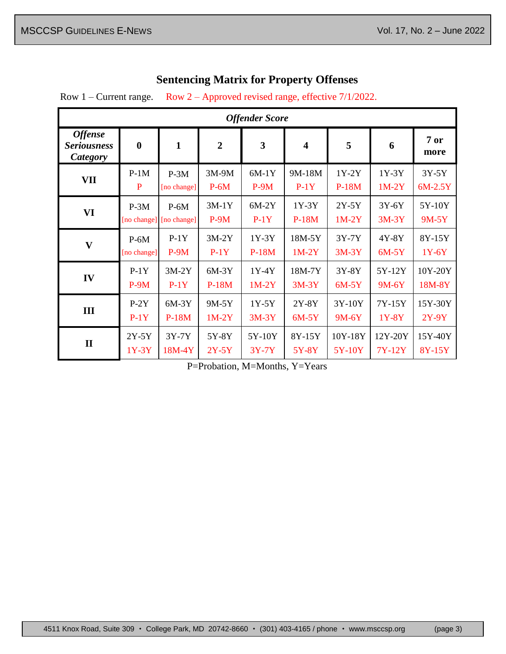# **Sentencing Matrix for Property Offenses**

Row 1 – Current range. Row 2 – Approved revised range, effective 7/1/2022.

| <b>Offender Score</b>                            |                  |              |                |         |                         |         |         |             |
|--------------------------------------------------|------------------|--------------|----------------|---------|-------------------------|---------|---------|-------------|
| <b>Offense</b><br><b>Seriousness</b><br>Category | $\boldsymbol{0}$ | $\mathbf{1}$ | $\overline{2}$ | 3       | $\overline{\mathbf{4}}$ | 5       | 6       | 7or<br>more |
| VII                                              | $P-1M$           | $P-3M$       | $3M-9M$        | $6M-1Y$ | 9M-18M                  | $1Y-2Y$ | $1Y-3Y$ | $3Y-5Y$     |
|                                                  | P                | [no change]  | $P-6M$         | $P-9M$  | $P-1Y$                  | $P-18M$ | $1M-2Y$ | $6M-2.5Y$   |
| <b>VI</b>                                        | $P-3M$           | $P-6M$       | $3M-1Y$        | $6M-2Y$ | $1Y-3Y$                 | $2Y-5Y$ | $3Y-6Y$ | 5Y-10Y      |
|                                                  | [no change]      | [no change]  | $P-9M$         | $P-1Y$  | $P-18M$                 | $1M-2Y$ | $3M-3Y$ | $9M-5Y$     |
| $\overline{\mathbf{V}}$                          | $P-6M$           | $P-1Y$       | $3M-2Y$        | $1Y-3Y$ | 18M-5Y                  | $3Y-7Y$ | 4Y-8Y   | 8Y-15Y      |
|                                                  | [no change]      | $P-9M$       | $P-1Y$         | $P-18M$ | $1M-2Y$                 | $3M-3Y$ | $6M-5Y$ | $1Y-6Y$     |
| IV                                               | $P-1Y$           | $3M-2Y$      | $6M-3Y$        | $1Y-4Y$ | 18M-7Y                  | 3Y-8Y   | 5Y-12Y  | 10Y-20Y     |
|                                                  | $P-9M$           | $P-1Y$       | $P-18M$        | $1M-2Y$ | $3M-3Y$                 | $6M-5Y$ | $9M-6Y$ | 18M-8Y      |
| III                                              | $P-2Y$           | $6M-3Y$      | 9M-5Y          | $1Y-5Y$ | $2Y-8Y$                 | 3Y-10Y  | 7Y-15Y  | 15Y-30Y     |
|                                                  | $P-1Y$           | P-18M        | $1M-2Y$        | $3M-3Y$ | $6M-5Y$                 | 9M-6Y   | 1Y-8Y   | $2Y-9Y$     |
| $\mathbf{I}$                                     | $2Y-5Y$          | $3Y-7Y$      | 5Y-8Y          | 5Y-10Y  | 8Y-15Y                  | 10Y-18Y | 12Y-20Y | 15Y-40Y     |
|                                                  | $1Y-3Y$          | 18M-4Y       | $2Y-5Y$        | $3Y-7Y$ | 5Y-8Y                   | 5Y-10Y  | 7Y-12Y  | 8Y-15Y      |

P=Probation, M=Months, Y=Years